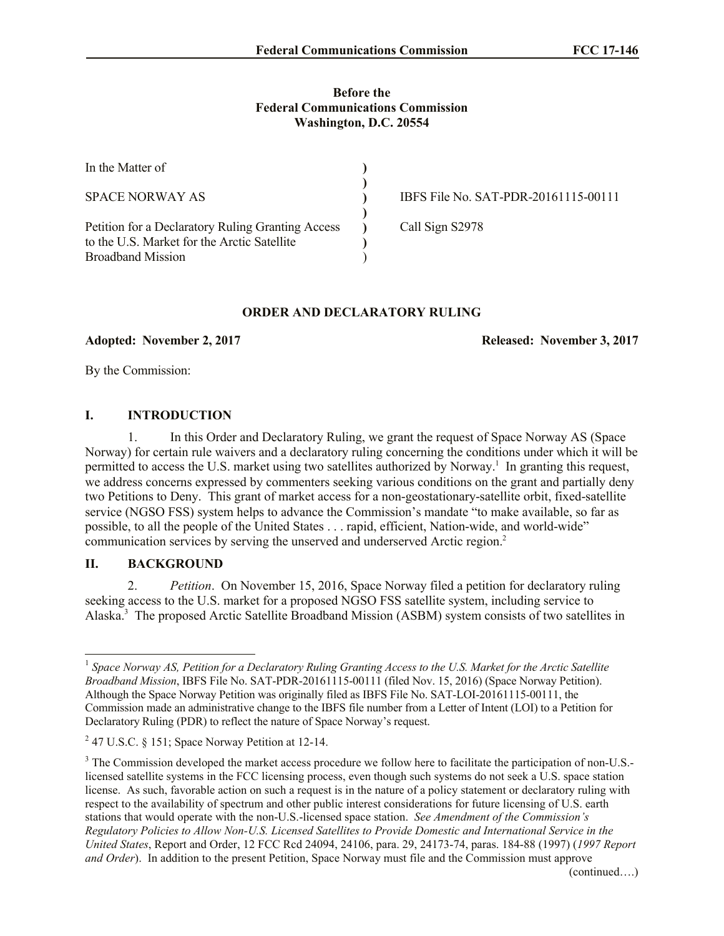#### **Before the Federal Communications Commission Washington, D.C. 20554**

| In the Matter of                                                                                 |                                      |
|--------------------------------------------------------------------------------------------------|--------------------------------------|
| <b>SPACE NORWAY AS</b>                                                                           | IBFS File No. SAT-PDR-20161115-00111 |
| Petition for a Declaratory Ruling Granting Access<br>to the U.S. Market for the Arctic Satellite | Call Sign S2978                      |
| <b>Broadband Mission</b>                                                                         |                                      |

# **ORDER AND DECLARATORY RULING**

**Adopted: November 2, 2017 Released: November 3, 2017**

By the Commission:

### **I. INTRODUCTION**

1. In this Order and Declaratory Ruling, we grant the request of Space Norway AS (Space Norway) for certain rule waivers and a declaratory ruling concerning the conditions under which it will be permitted to access the U.S. market using two satellites authorized by Norway.<sup>1</sup> In granting this request, we address concerns expressed by commenters seeking various conditions on the grant and partially deny two Petitions to Deny. This grant of market access for a non-geostationary-satellite orbit, fixed-satellite service (NGSO FSS) system helps to advance the Commission's mandate "to make available, so far as possible, to all the people of the United States . . . rapid, efficient, Nation-wide, and world-wide" communication services by serving the unserved and underserved Arctic region.<sup>2</sup>

#### **II. BACKGROUND**

l

2. *Petition*. On November 15, 2016, Space Norway filed a petition for declaratory ruling seeking access to the U.S. market for a proposed NGSO FSS satellite system, including service to Alaska.<sup>3</sup> The proposed Arctic Satellite Broadband Mission (ASBM) system consists of two satellites in

<sup>&</sup>lt;sup>1</sup> Space Norway AS, Petition for a Declaratory Ruling Granting Access to the U.S. Market for the Arctic Satellite *Broadband Mission*, IBFS File No. SAT-PDR-20161115-00111 (filed Nov. 15, 2016) (Space Norway Petition). Although the Space Norway Petition was originally filed as IBFS File No. SAT-LOI-20161115-00111, the Commission made an administrative change to the IBFS file number from a Letter of Intent (LOI) to a Petition for Declaratory Ruling (PDR) to reflect the nature of Space Norway's request.

 $2<sup>2</sup>$  47 U.S.C. § 151; Space Norway Petition at 12-14.

<sup>&</sup>lt;sup>3</sup> The Commission developed the market access procedure we follow here to facilitate the participation of non-U.S.licensed satellite systems in the FCC licensing process, even though such systems do not seek a U.S. space station license. As such, favorable action on such a request is in the nature of a policy statement or declaratory ruling with respect to the availability of spectrum and other public interest considerations for future licensing of U.S. earth stations that would operate with the non-U.S.-licensed space station. *See Amendment of the Commission's Regulatory Policies to Allow Non-U.S. Licensed Satellites to Provide Domestic and International Service in the United States*, Report and Order, 12 FCC Rcd 24094, 24106, para. 29, 24173-74, paras. 184-88 (1997) (*1997 Report and Order*). In addition to the present Petition, Space Norway must file and the Commission must approve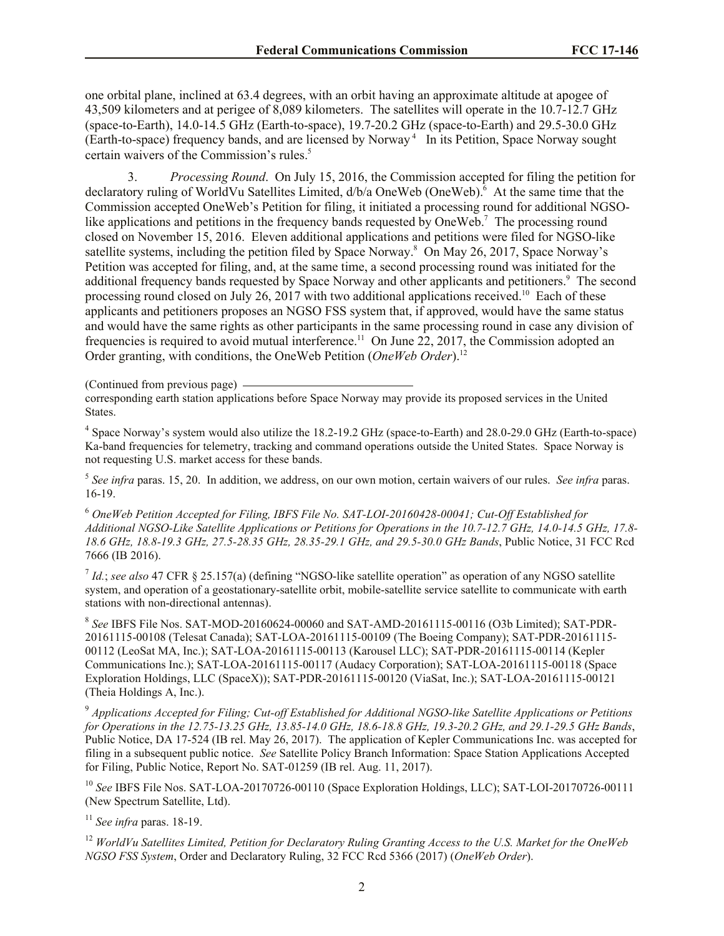one orbital plane, inclined at 63.4 degrees, with an orbit having an approximate altitude at apogee of 43,509 kilometers and at perigee of 8,089 kilometers. The satellites will operate in the 10.7-12.7 GHz (space-to-Earth), 14.0-14.5 GHz (Earth-to-space), 19.7-20.2 GHz (space-to-Earth) and 29.5-30.0 GHz (Earth-to-space) frequency bands, and are licensed by Norway<sup>4</sup> In its Petition, Space Norway sought certain waivers of the Commission's rules.<sup>5</sup>

3. *Processing Round*. On July 15, 2016, the Commission accepted for filing the petition for declaratory ruling of WorldVu Satellites Limited, d/b/a OneWeb (OneWeb).<sup>6</sup> At the same time that the Commission accepted OneWeb's Petition for filing, it initiated a processing round for additional NGSOlike applications and petitions in the frequency bands requested by OneWeb.<sup>7</sup> The processing round closed on November 15, 2016. Eleven additional applications and petitions were filed for NGSO-like satellite systems, including the petition filed by Space Norway.<sup>8</sup> On May 26, 2017, Space Norway's Petition was accepted for filing, and, at the same time, a second processing round was initiated for the additional frequency bands requested by Space Norway and other applicants and petitioners.<sup>9</sup> The second processing round closed on July 26, 2017 with two additional applications received.<sup>10</sup> Each of these applicants and petitioners proposes an NGSO FSS system that, if approved, would have the same status and would have the same rights as other participants in the same processing round in case any division of frequencies is required to avoid mutual interference.<sup>11</sup> On June 22, 2017, the Commission adopted an Order granting, with conditions, the OneWeb Petition (*OneWeb Order*).<sup>12</sup>

(Continued from previous page)

corresponding earth station applications before Space Norway may provide its proposed services in the United States.

<sup>4</sup> Space Norway's system would also utilize the 18.2-19.2 GHz (space-to-Earth) and 28.0-29.0 GHz (Earth-to-space) Ka-band frequencies for telemetry, tracking and command operations outside the United States. Space Norway is not requesting U.S. market access for these bands.

5 *See infra* paras. 15, 20. In addition, we address, on our own motion, certain waivers of our rules. *See infra* paras. 16-19.

<sup>6</sup> *OneWeb Petition Accepted for Filing, IBFS File No. SAT-LOI-20160428-00041; Cut-Off Established for Additional NGSO-Like Satellite Applications or Petitions for Operations in the 10.7-12.7 GHz, 14.0-14.5 GHz, 17.8- 18.6 GHz, 18.8-19.3 GHz, 27.5-28.35 GHz, 28.35-29.1 GHz, and 29.5-30.0 GHz Bands*, Public Notice, 31 FCC Rcd 7666 (IB 2016).

7 *Id.*; *see also* 47 CFR § 25.157(a) (defining "NGSO-like satellite operation" as operation of any NGSO satellite system, and operation of a geostationary-satellite orbit, mobile-satellite service satellite to communicate with earth stations with non-directional antennas).

8 *See* IBFS File Nos. SAT-MOD-20160624-00060 and SAT-AMD-20161115-00116 (O3b Limited); SAT-PDR-20161115-00108 (Telesat Canada); SAT-LOA-20161115-00109 (The Boeing Company); SAT-PDR-20161115- 00112 (LeoSat MA, Inc.); SAT-LOA-20161115-00113 (Karousel LLC); SAT-PDR-20161115-00114 (Kepler Communications Inc.); SAT-LOA-20161115-00117 (Audacy Corporation); SAT-LOA-20161115-00118 (Space Exploration Holdings, LLC (SpaceX)); SAT-PDR-20161115-00120 (ViaSat, Inc.); SAT-LOA-20161115-00121 (Theia Holdings A, Inc.).

<sup>9</sup> *Applications Accepted for Filing; Cut-off Established for Additional NGSO-like Satellite Applications or Petitions for Operations in the 12.75-13.25 GHz, 13.85-14.0 GHz, 18.6-18.8 GHz, 19.3-20.2 GHz, and 29.1-29.5 GHz Bands*, Public Notice, DA 17-524 (IB rel. May 26, 2017). The application of Kepler Communications Inc. was accepted for filing in a subsequent public notice. *See* Satellite Policy Branch Information: Space Station Applications Accepted for Filing, Public Notice, Report No. SAT-01259 (IB rel. Aug. 11, 2017).

<sup>10</sup> *See* IBFS File Nos. SAT-LOA-20170726-00110 (Space Exploration Holdings, LLC); SAT-LOI-20170726-00111 (New Spectrum Satellite, Ltd).

<sup>11</sup> *See infra* paras. 18-19.

<sup>12</sup> *WorldVu Satellites Limited, Petition for Declaratory Ruling Granting Access to the U.S. Market for the OneWeb NGSO FSS System*, Order and Declaratory Ruling, 32 FCC Rcd 5366 (2017) (*OneWeb Order*).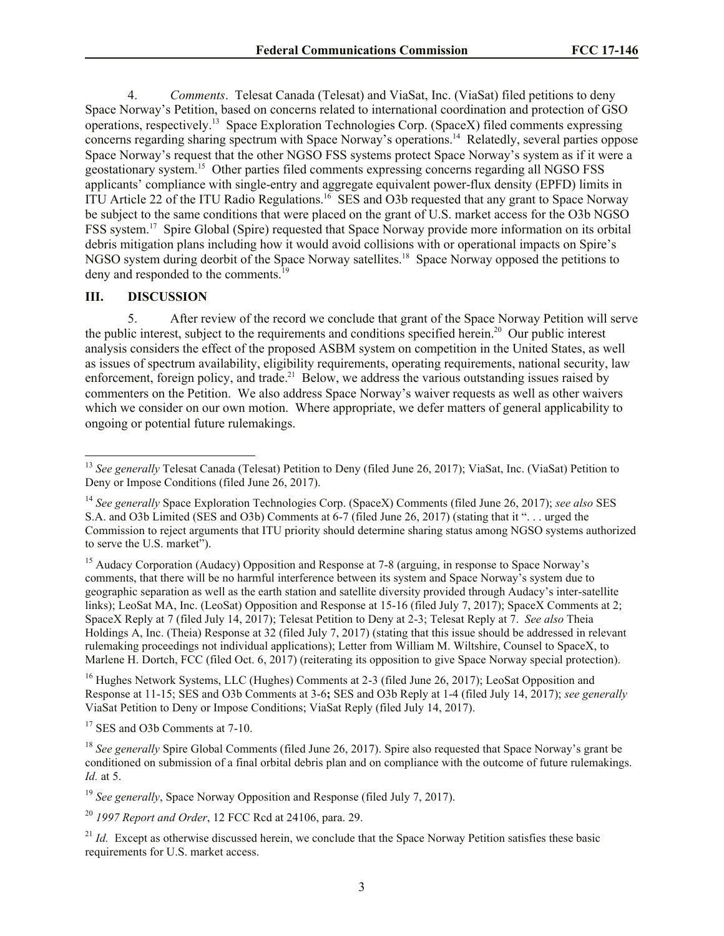4. *Comments*. Telesat Canada (Telesat) and ViaSat, Inc. (ViaSat) filed petitions to deny Space Norway's Petition, based on concerns related to international coordination and protection of GSO operations, respectively.<sup>13</sup> Space Exploration Technologies Corp. (SpaceX) filed comments expressing concerns regarding sharing spectrum with Space Norway's operations.<sup>14</sup> Relatedly, several parties oppose Space Norway's request that the other NGSO FSS systems protect Space Norway's system as if it were a geostationary system.<sup>15</sup> Other parties filed comments expressing concerns regarding all NGSO FSS applicants' compliance with single-entry and aggregate equivalent power-flux density (EPFD) limits in ITU Article 22 of the ITU Radio Regulations.<sup>16</sup> SES and O3b requested that any grant to Space Norway be subject to the same conditions that were placed on the grant of U.S. market access for the O3b NGSO FSS system.<sup>17</sup> Spire Global (Spire) requested that Space Norway provide more information on its orbital debris mitigation plans including how it would avoid collisions with or operational impacts on Spire's NGSO system during deorbit of the Space Norway satellites.<sup>18</sup> Space Norway opposed the petitions to deny and responded to the comments.<sup>19</sup>

### **III. DISCUSSION**

5. After review of the record we conclude that grant of the Space Norway Petition will serve the public interest, subject to the requirements and conditions specified herein.<sup>20</sup> Our public interest analysis considers the effect of the proposed ASBM system on competition in the United States, as well as issues of spectrum availability, eligibility requirements, operating requirements, national security, law enforcement, foreign policy, and trade.<sup>21</sup> Below, we address the various outstanding issues raised by commenters on the Petition. We also address Space Norway's waiver requests as well as other waivers which we consider on our own motion. Where appropriate, we defer matters of general applicability to ongoing or potential future rulemakings.

<sup>15</sup> Audacy Corporation (Audacy) Opposition and Response at 7-8 (arguing, in response to Space Norway's comments, that there will be no harmful interference between its system and Space Norway's system due to geographic separation as well as the earth station and satellite diversity provided through Audacy's inter-satellite links); LeoSat MA, Inc. (LeoSat) Opposition and Response at 15-16 (filed July 7, 2017); SpaceX Comments at 2; SpaceX Reply at 7 (filed July 14, 2017); Telesat Petition to Deny at 2-3; Telesat Reply at 7. *See also* Theia Holdings A, Inc. (Theia) Response at 32 (filed July 7, 2017) (stating that this issue should be addressed in relevant rulemaking proceedings not individual applications); Letter from William M. Wiltshire, Counsel to SpaceX, to Marlene H. Dortch, FCC (filed Oct. 6, 2017) (reiterating its opposition to give Space Norway special protection).

<sup>16</sup> Hughes Network Systems, LLC (Hughes) Comments at 2-3 (filed June 26, 2017); LeoSat Opposition and Response at 11-15; SES and O3b Comments at 3-6**;** SES and O3b Reply at 1-4 (filed July 14, 2017); *see generally*  ViaSat Petition to Deny or Impose Conditions; ViaSat Reply (filed July 14, 2017).

<sup>17</sup> SES and O3b Comments at 7-10.

<sup>19</sup> *See generally*, Space Norway Opposition and Response (filed July 7, 2017).

<sup>20</sup> *1997 Report and Order*, 12 FCC Rcd at 24106, para. 29.

l <sup>13</sup> See generally Telesat Canada (Telesat) Petition to Deny (filed June 26, 2017); ViaSat, Inc. (ViaSat) Petition to Deny or Impose Conditions (filed June 26, 2017).

<sup>14</sup> *See generally* Space Exploration Technologies Corp. (SpaceX) Comments (filed June 26, 2017); *see also* SES S.A. and O3b Limited (SES and O3b) Comments at 6-7 (filed June 26, 2017) (stating that it ". . . urged the Commission to reject arguments that ITU priority should determine sharing status among NGSO systems authorized to serve the U.S. market").

<sup>&</sup>lt;sup>18</sup> *See generally* Spire Global Comments (filed June 26, 2017). Spire also requested that Space Norway's grant be conditioned on submission of a final orbital debris plan and on compliance with the outcome of future rulemakings. *Id.* at 5.

<sup>&</sup>lt;sup>21</sup> *Id.* Except as otherwise discussed herein, we conclude that the Space Norway Petition satisfies these basic requirements for U.S. market access.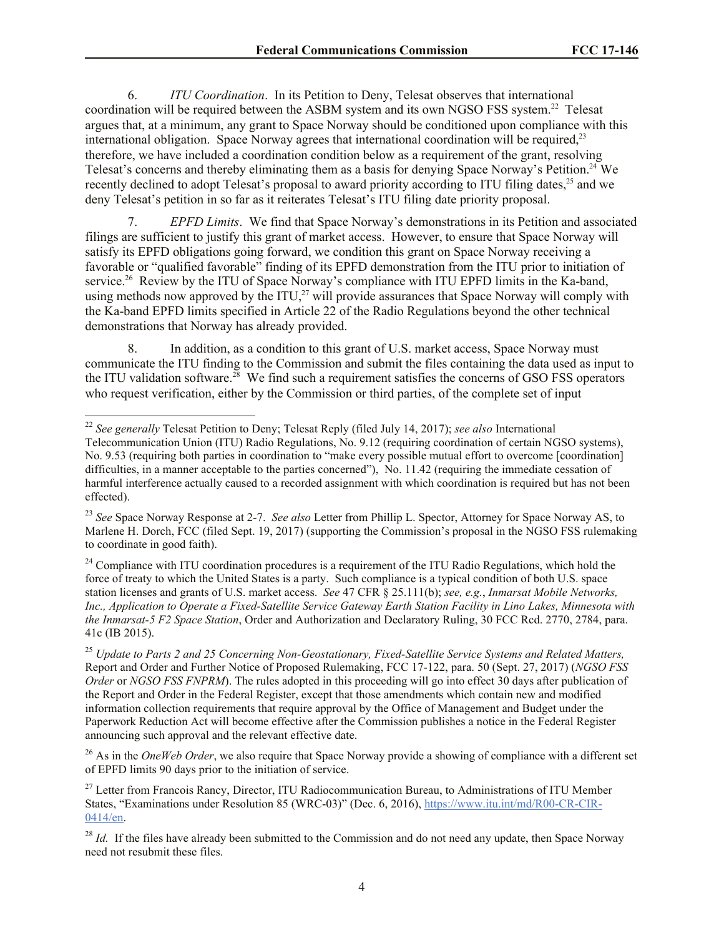6. *ITU Coordination*. In its Petition to Deny, Telesat observes that international coordination will be required between the ASBM system and its own NGSO FSS system.<sup>22</sup> Telesat argues that, at a minimum, any grant to Space Norway should be conditioned upon compliance with this international obligation. Space Norway agrees that international coordination will be required.<sup>23</sup> therefore, we have included a coordination condition below as a requirement of the grant, resolving Telesat's concerns and thereby eliminating them as a basis for denying Space Norway's Petition.<sup>24</sup> We recently declined to adopt Telesat's proposal to award priority according to ITU filing dates,<sup>25</sup> and we deny Telesat's petition in so far as it reiterates Telesat's ITU filing date priority proposal.

7. *EPFD Limits*. We find that Space Norway's demonstrations in its Petition and associated filings are sufficient to justify this grant of market access. However, to ensure that Space Norway will satisfy its EPFD obligations going forward, we condition this grant on Space Norway receiving a favorable or "qualified favorable" finding of its EPFD demonstration from the ITU prior to initiation of service.<sup>26</sup> Review by the ITU of Space Norway's compliance with ITU EPFD limits in the Ka-band, using methods now approved by the ITU,<sup>27</sup> will provide assurances that Space Norway will comply with the Ka-band EPFD limits specified in Article 22 of the Radio Regulations beyond the other technical demonstrations that Norway has already provided.

8. In addition, as a condition to this grant of U.S. market access, Space Norway must communicate the ITU finding to the Commission and submit the files containing the data used as input to the ITU validation software.<sup>28</sup> We find such a requirement satisfies the concerns of GSO FSS operators who request verification, either by the Commission or third parties, of the complete set of input

l

<sup>22</sup> *See generally* Telesat Petition to Deny; Telesat Reply (filed July 14, 2017); *see also* International

Telecommunication Union (ITU) Radio Regulations, No. 9.12 (requiring coordination of certain NGSO systems), No. 9.53 (requiring both parties in coordination to "make every possible mutual effort to overcome [coordination] difficulties, in a manner acceptable to the parties concerned"), No. 11.42 (requiring the immediate cessation of harmful interference actually caused to a recorded assignment with which coordination is required but has not been effected).

<sup>23</sup> *See* Space Norway Response at 2-7. *See also* Letter from Phillip L. Spector, Attorney for Space Norway AS, to Marlene H. Dorch, FCC (filed Sept. 19, 2017) (supporting the Commission's proposal in the NGSO FSS rulemaking to coordinate in good faith).

<sup>&</sup>lt;sup>24</sup> Compliance with ITU coordination procedures is a requirement of the ITU Radio Regulations, which hold the force of treaty to which the United States is a party. Such compliance is a typical condition of both U.S. space station licenses and grants of U.S. market access. *See* 47 CFR § 25.111(b); *see, e.g.*, *Inmarsat Mobile Networks, Inc., Application to Operate a Fixed-Satellite Service Gateway Earth Station Facility in Lino Lakes, Minnesota with the Inmarsat-5 F2 Space Station*, Order and Authorization and Declaratory Ruling, 30 FCC Rcd. 2770, 2784, para. 41c (IB 2015).

<sup>25</sup> *Update to Parts 2 and 25 Concerning Non-Geostationary, Fixed-Satellite Service Systems and Related Matters,*  Report and Order and Further Notice of Proposed Rulemaking, FCC 17-122, para. 50 (Sept. 27, 2017) (*NGSO FSS Order* or *NGSO FSS FNPRM*). The rules adopted in this proceeding will go into effect 30 days after publication of the Report and Order in the Federal Register, except that those amendments which contain new and modified information collection requirements that require approval by the Office of Management and Budget under the Paperwork Reduction Act will become effective after the Commission publishes a notice in the Federal Register announcing such approval and the relevant effective date.

<sup>&</sup>lt;sup>26</sup> As in the *OneWeb Order*, we also require that Space Norway provide a showing of compliance with a different set of EPFD limits 90 days prior to the initiation of service.

<sup>&</sup>lt;sup>27</sup> Letter from Francois Rancy, Director, ITU Radiocommunication Bureau, to Administrations of ITU Member States, "Examinations under Resolution 85 (WRC-03)" (Dec. 6, 2016), https://www.itu.int/md/R00-CR-CIR-0414/en.

<sup>&</sup>lt;sup>28</sup> *Id.* If the files have already been submitted to the Commission and do not need any update, then Space Norway need not resubmit these files.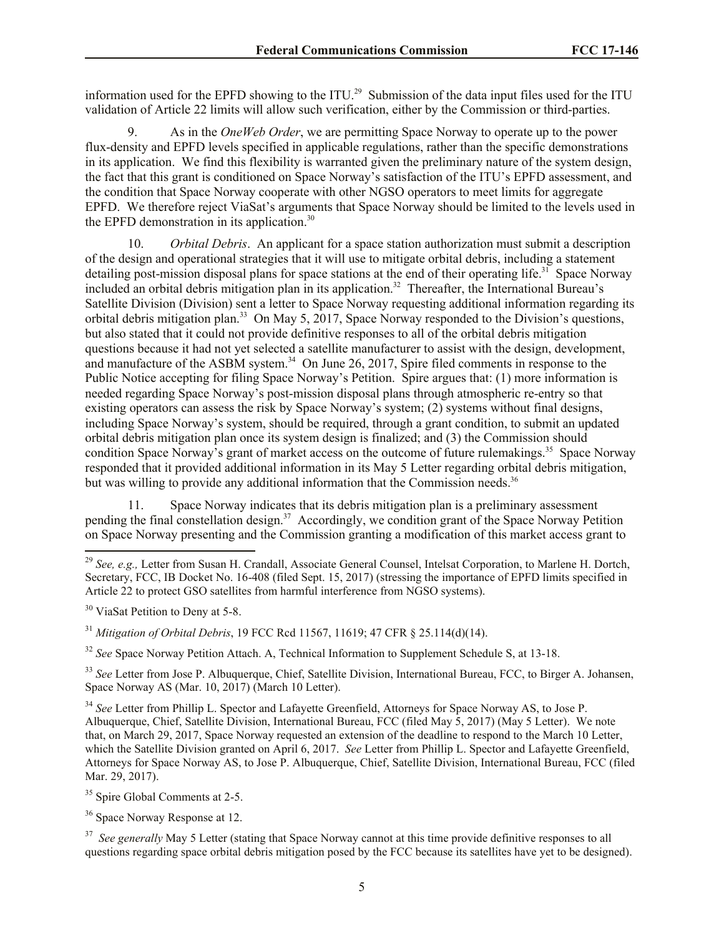information used for the EPFD showing to the ITU.<sup>29</sup> Submission of the data input files used for the ITU validation of Article 22 limits will allow such verification, either by the Commission or third-parties.

9. As in the *OneWeb Order*, we are permitting Space Norway to operate up to the power flux-density and EPFD levels specified in applicable regulations, rather than the specific demonstrations in its application. We find this flexibility is warranted given the preliminary nature of the system design, the fact that this grant is conditioned on Space Norway's satisfaction of the ITU's EPFD assessment, and the condition that Space Norway cooperate with other NGSO operators to meet limits for aggregate EPFD. We therefore reject ViaSat's arguments that Space Norway should be limited to the levels used in the EPFD demonstration in its application.<sup>30</sup>

10. *Orbital Debris*. An applicant for a space station authorization must submit a description of the design and operational strategies that it will use to mitigate orbital debris, including a statement detailing post-mission disposal plans for space stations at the end of their operating life.<sup>31</sup> Space Norway included an orbital debris mitigation plan in its application.<sup>32</sup> Thereafter, the International Bureau's Satellite Division (Division) sent a letter to Space Norway requesting additional information regarding its orbital debris mitigation plan.<sup>33</sup> On May 5, 2017, Space Norway responded to the Division's questions, but also stated that it could not provide definitive responses to all of the orbital debris mitigation questions because it had not yet selected a satellite manufacturer to assist with the design, development, and manufacture of the ASBM system.<sup>34</sup> On June 26, 2017, Spire filed comments in response to the Public Notice accepting for filing Space Norway's Petition. Spire argues that: (1) more information is needed regarding Space Norway's post-mission disposal plans through atmospheric re-entry so that existing operators can assess the risk by Space Norway's system; (2) systems without final designs, including Space Norway's system, should be required, through a grant condition, to submit an updated orbital debris mitigation plan once its system design is finalized; and (3) the Commission should condition Space Norway's grant of market access on the outcome of future rulemakings.<sup>35</sup> Space Norway responded that it provided additional information in its May 5 Letter regarding orbital debris mitigation, but was willing to provide any additional information that the Commission needs.<sup>36</sup>

11. Space Norway indicates that its debris mitigation plan is a preliminary assessment pending the final constellation design.<sup>37</sup> Accordingly, we condition grant of the Space Norway Petition on Space Norway presenting and the Commission granting a modification of this market access grant to

l

<sup>32</sup> *See* Space Norway Petition Attach. A. Technical Information to Supplement Schedule S, at 13-18.

<sup>33</sup> See Letter from Jose P. Albuquerque, Chief, Satellite Division, International Bureau, FCC, to Birger A. Johansen, Space Norway AS (Mar. 10, 2017) (March 10 Letter).

<sup>34</sup> *See* Letter from Phillip L. Spector and Lafayette Greenfield, Attorneys for Space Norway AS, to Jose P. Albuquerque, Chief, Satellite Division, International Bureau, FCC (filed May 5, 2017) (May 5 Letter). We note that, on March 29, 2017, Space Norway requested an extension of the deadline to respond to the March 10 Letter, which the Satellite Division granted on April 6, 2017. *See* Letter from Phillip L. Spector and Lafayette Greenfield, Attorneys for Space Norway AS, to Jose P. Albuquerque, Chief, Satellite Division, International Bureau, FCC (filed Mar. 29, 2017).

<sup>35</sup> Spire Global Comments at 2-5.

<sup>36</sup> Space Norway Response at 12.

<sup>37</sup> See generally May 5 Letter (stating that Space Norway cannot at this time provide definitive responses to all questions regarding space orbital debris mitigation posed by the FCC because its satellites have yet to be designed).

<sup>29</sup> *See, e.g.,* Letter from Susan H. Crandall, Associate General Counsel, Intelsat Corporation, to Marlene H. Dortch, Secretary, FCC, IB Docket No. 16-408 (filed Sept. 15, 2017) (stressing the importance of EPFD limits specified in Article 22 to protect GSO satellites from harmful interference from NGSO systems).

<sup>&</sup>lt;sup>30</sup> ViaSat Petition to Deny at 5-8.

<sup>31</sup> *Mitigation of Orbital Debris*, 19 FCC Rcd 11567, 11619; 47 CFR § 25.114(d)(14).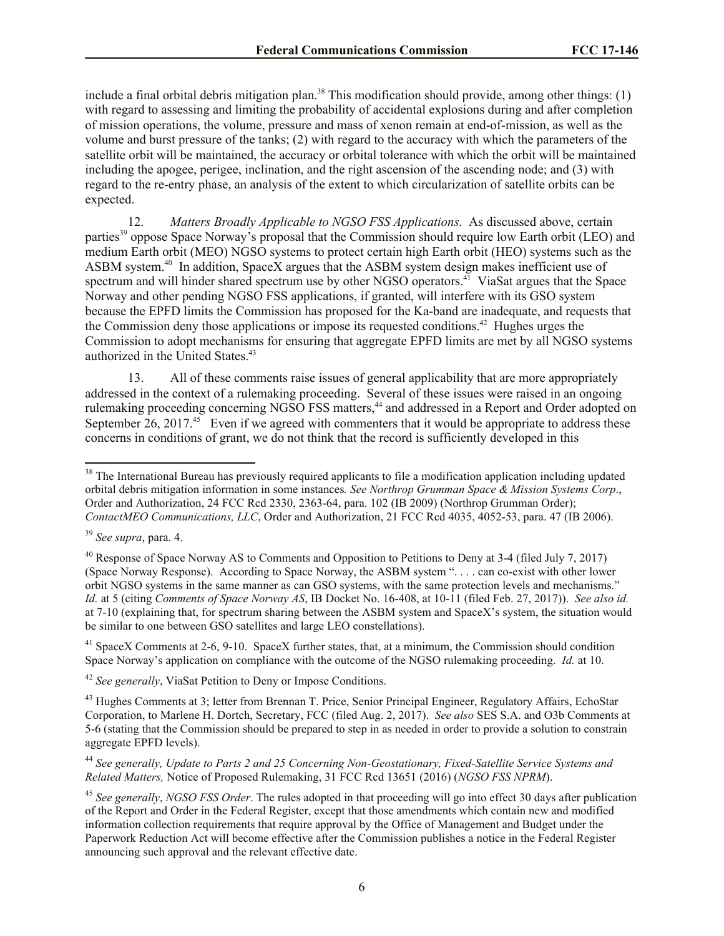include a final orbital debris mitigation plan.<sup>38</sup> This modification should provide, among other things: (1) with regard to assessing and limiting the probability of accidental explosions during and after completion of mission operations, the volume, pressure and mass of xenon remain at end-of-mission, as well as the volume and burst pressure of the tanks; (2) with regard to the accuracy with which the parameters of the satellite orbit will be maintained, the accuracy or orbital tolerance with which the orbit will be maintained including the apogee, perigee, inclination, and the right ascension of the ascending node; and (3) with regard to the re-entry phase, an analysis of the extent to which circularization of satellite orbits can be expected.

12. *Matters Broadly Applicable to NGSO FSS Applications*. As discussed above, certain parties<sup>39</sup> oppose Space Norway's proposal that the Commission should require low Earth orbit (LEO) and medium Earth orbit (MEO) NGSO systems to protect certain high Earth orbit (HEO) systems such as the ASBM system. $40$  In addition, SpaceX argues that the ASBM system design makes inefficient use of spectrum and will hinder shared spectrum use by other NGSO operators.<sup>41</sup> ViaSat argues that the Space Norway and other pending NGSO FSS applications, if granted, will interfere with its GSO system because the EPFD limits the Commission has proposed for the Ka-band are inadequate, and requests that the Commission deny those applications or impose its requested conditions.<sup>42</sup> Hughes urges the Commission to adopt mechanisms for ensuring that aggregate EPFD limits are met by all NGSO systems authorized in the United States.<sup>43</sup>

13. All of these comments raise issues of general applicability that are more appropriately addressed in the context of a rulemaking proceeding. Several of these issues were raised in an ongoing rulemaking proceeding concerning NGSO FSS matters,<sup>44</sup> and addressed in a Report and Order adopted on September 26, 2017. $45$  Even if we agreed with commenters that it would be appropriate to address these concerns in conditions of grant, we do not think that the record is sufficiently developed in this

 $\overline{\phantom{a}}$ 

<sup>41</sup> SpaceX Comments at 2-6, 9-10. SpaceX further states, that, at a minimum, the Commission should condition Space Norway's application on compliance with the outcome of the NGSO rulemaking proceeding. *Id.* at 10.

<sup>42</sup> *See generally*, ViaSat Petition to Deny or Impose Conditions.

<sup>44</sup> *See generally, Update to Parts 2 and 25 Concerning Non-Geostationary, Fixed-Satellite Service Systems and Related Matters,* Notice of Proposed Rulemaking, 31 FCC Rcd 13651 (2016) (*NGSO FSS NPRM*).

 $38$  The International Bureau has previously required applicants to file a modification application including updated orbital debris mitigation information in some instances*. See Northrop Grumman Space & Mission Systems Corp*., Order and Authorization, 24 FCC Rcd 2330, 2363-64, para. 102 (IB 2009) (Northrop Grumman Order); *ContactMEO Communications, LLC*, Order and Authorization, 21 FCC Rcd 4035, 4052-53, para. 47 (IB 2006).

<sup>39</sup> *See supra*, para. 4.

<sup>&</sup>lt;sup>40</sup> Response of Space Norway AS to Comments and Opposition to Petitions to Deny at  $3-4$  (filed July 7, 2017) (Space Norway Response). According to Space Norway, the ASBM system ". . . . can co-exist with other lower orbit NGSO systems in the same manner as can GSO systems, with the same protection levels and mechanisms." *Id.* at 5 (citing *Comments of Space Norway AS*, IB Docket No. 16-408, at 10-11 (filed Feb. 27, 2017)). *See also id.* at 7-10 (explaining that, for spectrum sharing between the ASBM system and SpaceX's system, the situation would be similar to one between GSO satellites and large LEO constellations).

<sup>&</sup>lt;sup>43</sup> Hughes Comments at 3; letter from Brennan T. Price, Senior Principal Engineer, Regulatory Affairs, EchoStar Corporation, to Marlene H. Dortch, Secretary, FCC (filed Aug. 2, 2017). *See also* SES S.A. and O3b Comments at 5-6 (stating that the Commission should be prepared to step in as needed in order to provide a solution to constrain aggregate EPFD levels).

<sup>45</sup> *See generally*, *NGSO FSS Order*. The rules adopted in that proceeding will go into effect 30 days after publication of the Report and Order in the Federal Register, except that those amendments which contain new and modified information collection requirements that require approval by the Office of Management and Budget under the Paperwork Reduction Act will become effective after the Commission publishes a notice in the Federal Register announcing such approval and the relevant effective date.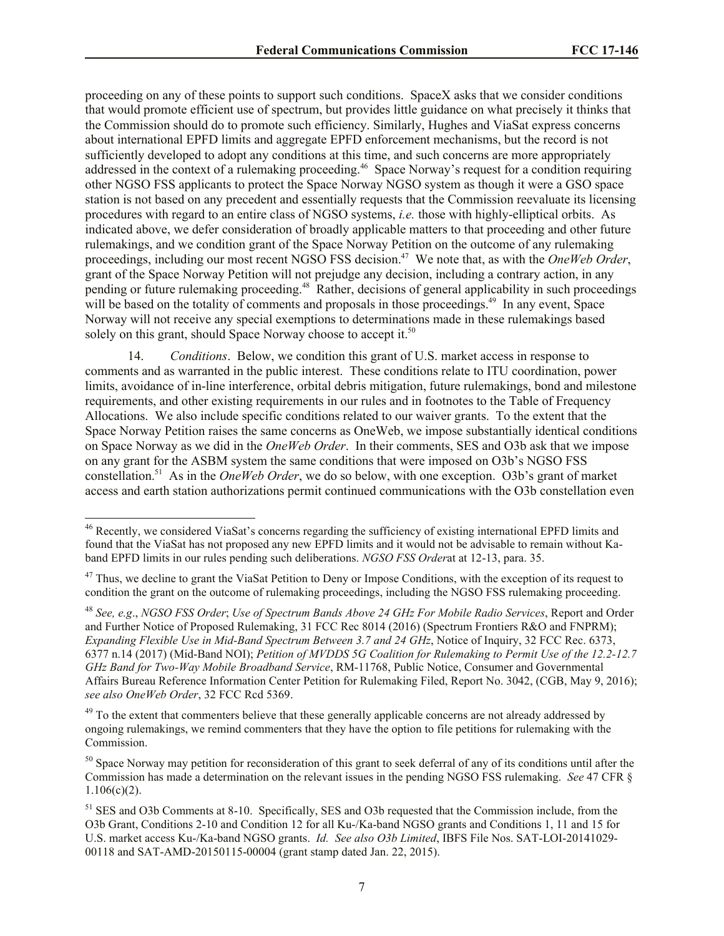proceeding on any of these points to support such conditions. SpaceX asks that we consider conditions that would promote efficient use of spectrum, but provides little guidance on what precisely it thinks that the Commission should do to promote such efficiency. Similarly, Hughes and ViaSat express concerns about international EPFD limits and aggregate EPFD enforcement mechanisms, but the record is not sufficiently developed to adopt any conditions at this time, and such concerns are more appropriately addressed in the context of a rulemaking proceeding.<sup>46</sup> Space Norway's request for a condition requiring other NGSO FSS applicants to protect the Space Norway NGSO system as though it were a GSO space station is not based on any precedent and essentially requests that the Commission reevaluate its licensing procedures with regard to an entire class of NGSO systems, *i.e.* those with highly-elliptical orbits. As indicated above, we defer consideration of broadly applicable matters to that proceeding and other future rulemakings, and we condition grant of the Space Norway Petition on the outcome of any rulemaking proceedings, including our most recent NGSO FSS decision.<sup>47</sup> We note that, as with the *OneWeb Order*, grant of the Space Norway Petition will not prejudge any decision, including a contrary action, in any pending or future rulemaking proceeding.<sup>48</sup> Rather, decisions of general applicability in such proceedings will be based on the totality of comments and proposals in those proceedings.<sup>49</sup> In any event, Space Norway will not receive any special exemptions to determinations made in these rulemakings based solely on this grant, should Space Norway choose to accept it.<sup>50</sup>

14. *Conditions*. Below, we condition this grant of U.S. market access in response to comments and as warranted in the public interest. These conditions relate to ITU coordination, power limits, avoidance of in-line interference, orbital debris mitigation, future rulemakings, bond and milestone requirements, and other existing requirements in our rules and in footnotes to the Table of Frequency Allocations. We also include specific conditions related to our waiver grants. To the extent that the Space Norway Petition raises the same concerns as OneWeb, we impose substantially identical conditions on Space Norway as we did in the *OneWeb Order*. In their comments, SES and O3b ask that we impose on any grant for the ASBM system the same conditions that were imposed on O3b's NGSO FSS constellation.<sup>51</sup> As in the *OneWeb Order*, we do so below, with one exception. O3b's grant of market access and earth station authorizations permit continued communications with the O3b constellation even

 $\overline{\phantom{a}}$ 

<sup>49</sup> To the extent that commenters believe that these generally applicable concerns are not already addressed by ongoing rulemakings, we remind commenters that they have the option to file petitions for rulemaking with the Commission.

<sup>&</sup>lt;sup>46</sup> Recently, we considered ViaSat's concerns regarding the sufficiency of existing international EPFD limits and found that the ViaSat has not proposed any new EPFD limits and it would not be advisable to remain without Kaband EPFD limits in our rules pending such deliberations. *NGSO FSS Order*at at 12-13, para. 35.

<sup>&</sup>lt;sup>47</sup> Thus, we decline to grant the ViaSat Petition to Deny or Impose Conditions, with the exception of its request to condition the grant on the outcome of rulemaking proceedings, including the NGSO FSS rulemaking proceeding.

<sup>48</sup> *See, e.g*., *NGSO FSS Order*; *Use of Spectrum Bands Above 24 GHz For Mobile Radio Services*, Report and Order and Further Notice of Proposed Rulemaking, 31 FCC Rec 8014 (2016) (Spectrum Frontiers R&O and FNPRM); *Expanding Flexible Use in Mid-Band Spectrum Between 3.7 and 24 GHz*, Notice of Inquiry, 32 FCC Rec. 6373, 6377 n.14 (2017) (Mid-Band NOI); *Petition of MVDDS 5G Coalition for Rulemaking to Permit Use of the 12.2-12.7 GHz Band for Two-Way Mobile Broadband Service*, RM-11768, Public Notice, Consumer and Governmental Affairs Bureau Reference Information Center Petition for Rulemaking Filed, Report No. 3042, (CGB, May 9, 2016); *see also OneWeb Order*, 32 FCC Rcd 5369.

 $50$  Space Norway may petition for reconsideration of this grant to seek deferral of any of its conditions until after the Commission has made a determination on the relevant issues in the pending NGSO FSS rulemaking. *See* 47 CFR §  $1.106(c)(2)$ .

<sup>51</sup> SES and O3b Comments at 8-10. Specifically, SES and O3b requested that the Commission include, from the O3b Grant, Conditions 2-10 and Condition 12 for all Ku-/Ka-band NGSO grants and Conditions 1, 11 and 15 for U.S. market access Ku-/Ka-band NGSO grants. *Id. See also O3b Limited*, IBFS File Nos. SAT-LOI-20141029- 00118 and SAT-AMD-20150115-00004 (grant stamp dated Jan. 22, 2015).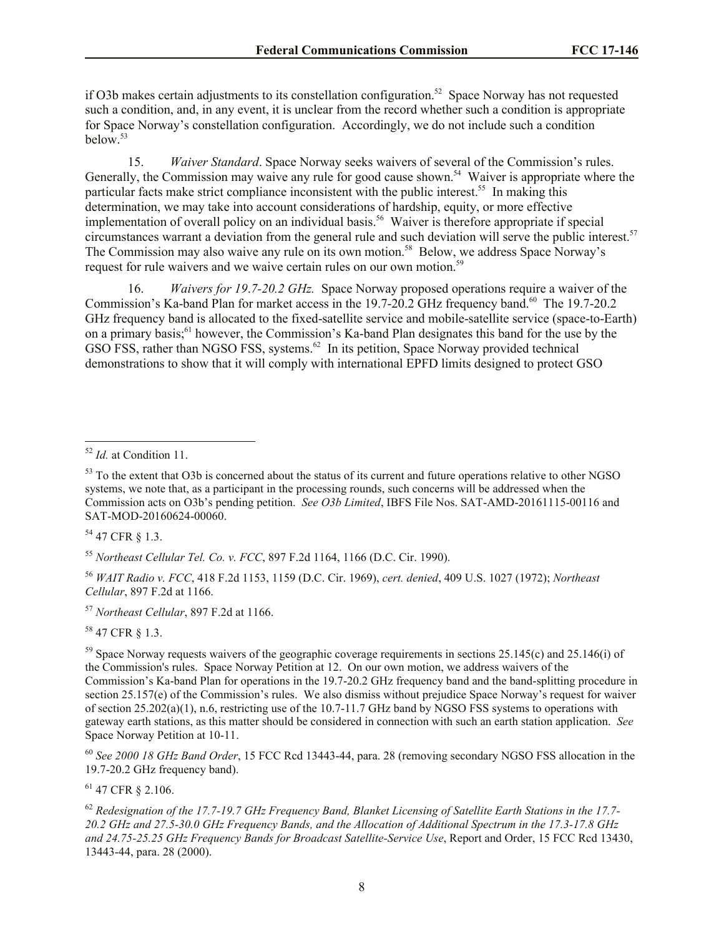if O3b makes certain adjustments to its constellation configuration.<sup>52</sup> Space Norway has not requested such a condition, and, in any event, it is unclear from the record whether such a condition is appropriate for Space Norway's constellation configuration. Accordingly, we do not include such a condition below.<sup>53</sup>

15. *Waiver Standard*. Space Norway seeks waivers of several of the Commission's rules. Generally, the Commission may waive any rule for good cause shown.<sup>54</sup> Waiver is appropriate where the particular facts make strict compliance inconsistent with the public interest.<sup>55</sup> In making this determination, we may take into account considerations of hardship, equity, or more effective implementation of overall policy on an individual basis.<sup>56</sup> Waiver is therefore appropriate if special circumstances warrant a deviation from the general rule and such deviation will serve the public interest.<sup>57</sup> The Commission may also waive any rule on its own motion.<sup>58</sup> Below, we address Space Norway's request for rule waivers and we waive certain rules on our own motion.<sup>59</sup>

16. *Waivers for 19*.*7-20.2 GHz.* Space Norway proposed operations require a waiver of the Commission's Ka-band Plan for market access in the 19.7-20.2 GHz frequency band.<sup>60</sup> The 19.7-20.2 GHz frequency band is allocated to the fixed-satellite service and mobile-satellite service (space-to-Earth) on a primary basis;<sup>61</sup> however, the Commission's Ka-band Plan designates this band for the use by the GSO FSS, rather than NGSO FSS, systems.<sup>62</sup> In its petition, Space Norway provided technical demonstrations to show that it will comply with international EPFD limits designed to protect GSO

<sup>54</sup> 47 CFR § 1.3.

<sup>55</sup> *Northeast Cellular Tel. Co. v. FCC*, 897 F.2d 1164, 1166 (D.C. Cir. 1990).

<sup>56</sup> *WAIT Radio v. FCC*, 418 F.2d 1153, 1159 (D.C. Cir. 1969), *cert. denied*, 409 U.S. 1027 (1972); *Northeast Cellular*, 897 F.2d at 1166.

<sup>57</sup> *Northeast Cellular*, 897 F.2d at 1166.

<sup>58</sup> 47 CFR § 1.3.

 $59$  Space Norway requests waivers of the geographic coverage requirements in sections 25.145(c) and 25.146(i) of the Commission's rules. Space Norway Petition at 12. On our own motion, we address waivers of the Commission's Ka-band Plan for operations in the 19.7-20.2 GHz frequency band and the band-splitting procedure in section 25.157(e) of the Commission's rules. We also dismiss without prejudice Space Norway's request for waiver of section 25.202(a)(1), n.6, restricting use of the 10.7-11.7 GHz band by NGSO FSS systems to operations with gateway earth stations, as this matter should be considered in connection with such an earth station application. *See* Space Norway Petition at 10-11.

<sup>60</sup> *See 2000 18 GHz Band Order*, 15 FCC Rcd 13443-44, para. 28 (removing secondary NGSO FSS allocation in the 19.7-20.2 GHz frequency band).

<sup>61</sup> 47 CFR § 2.106.

<sup>62</sup> *Redesignation of the 17.7-19.7 GHz Frequency Band, Blanket Licensing of Satellite Earth Stations in the 17.7- 20.2 GHz and 27.5-30.0 GHz Frequency Bands, and the Allocation of Additional Spectrum in the 17.3-17.8 GHz and 24.75-25.25 GHz Frequency Bands for Broadcast Satellite-Service Use*, Report and Order, 15 FCC Rcd 13430, 13443-44, para. 28 (2000).

 $\overline{\phantom{a}}$ <sup>52</sup> *Id.* at Condition 11.

<sup>&</sup>lt;sup>53</sup> To the extent that O3b is concerned about the status of its current and future operations relative to other NGSO systems, we note that, as a participant in the processing rounds, such concerns will be addressed when the Commission acts on O3b's pending petition. *See O3b Limited*, IBFS File Nos. SAT-AMD-20161115-00116 and SAT-MOD-20160624-00060.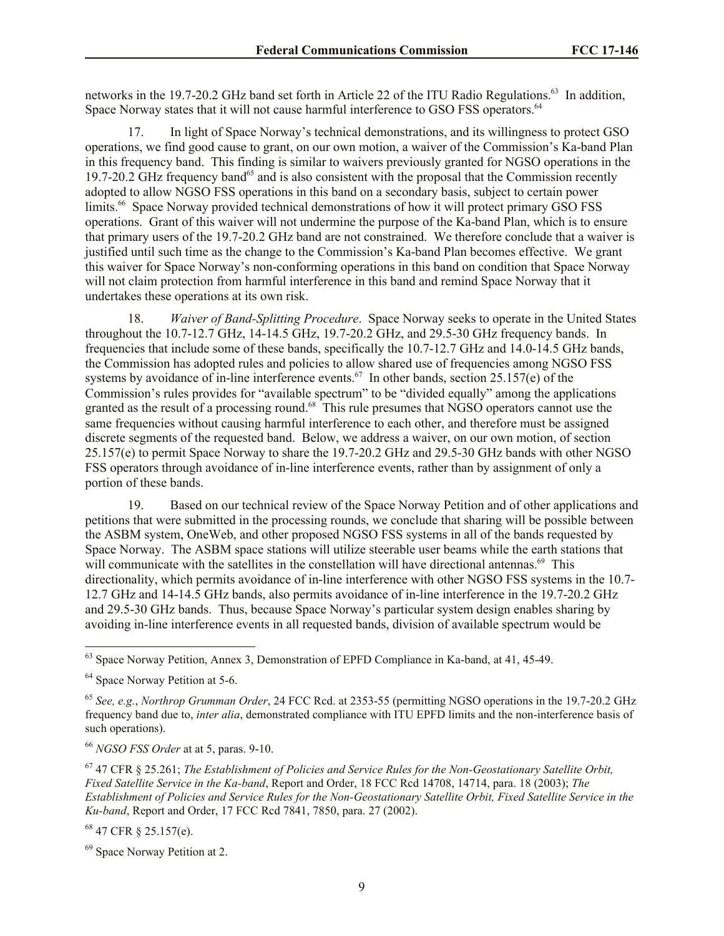networks in the 19.7-20.2 GHz band set forth in Article 22 of the ITU Radio Regulations.<sup>63</sup> In addition, Space Norway states that it will not cause harmful interference to GSO FSS operators.<sup>64</sup>

17. In light of Space Norway's technical demonstrations, and its willingness to protect GSO operations, we find good cause to grant, on our own motion, a waiver of the Commission's Ka-band Plan in this frequency band. This finding is similar to waivers previously granted for NGSO operations in the 19.7-20.2 GHz frequency band<sup>65</sup> and is also consistent with the proposal that the Commission recently adopted to allow NGSO FSS operations in this band on a secondary basis, subject to certain power limits.<sup>66</sup> Space Norway provided technical demonstrations of how it will protect primary GSO FSS operations. Grant of this waiver will not undermine the purpose of the Ka-band Plan, which is to ensure that primary users of the 19.7-20.2 GHz band are not constrained. We therefore conclude that a waiver is justified until such time as the change to the Commission's Ka-band Plan becomes effective. We grant this waiver for Space Norway's non-conforming operations in this band on condition that Space Norway will not claim protection from harmful interference in this band and remind Space Norway that it undertakes these operations at its own risk.

18. *Waiver of Band-Splitting Procedure*. Space Norway seeks to operate in the United States throughout the 10.7-12.7 GHz, 14-14.5 GHz, 19.7-20.2 GHz, and 29.5-30 GHz frequency bands. In frequencies that include some of these bands, specifically the 10.7-12.7 GHz and 14.0-14.5 GHz bands, the Commission has adopted rules and policies to allow shared use of frequencies among NGSO FSS systems by avoidance of in-line interference events.<sup>67</sup> In other bands, section 25.157(e) of the Commission's rules provides for "available spectrum" to be "divided equally" among the applications granted as the result of a processing round.<sup>68</sup> This rule presumes that NGSO operators cannot use the same frequencies without causing harmful interference to each other, and therefore must be assigned discrete segments of the requested band. Below, we address a waiver, on our own motion, of section 25.157(e) to permit Space Norway to share the 19.7-20.2 GHz and 29.5-30 GHz bands with other NGSO FSS operators through avoidance of in-line interference events, rather than by assignment of only a portion of these bands.

19. Based on our technical review of the Space Norway Petition and of other applications and petitions that were submitted in the processing rounds, we conclude that sharing will be possible between the ASBM system, OneWeb, and other proposed NGSO FSS systems in all of the bands requested by Space Norway. The ASBM space stations will utilize steerable user beams while the earth stations that will communicate with the satellites in the constellation will have directional antennas.<sup>69</sup> This directionality, which permits avoidance of in-line interference with other NGSO FSS systems in the 10.7- 12.7 GHz and 14-14.5 GHz bands, also permits avoidance of in-line interference in the 19.7-20.2 GHz and 29.5-30 GHz bands. Thus, because Space Norway's particular system design enables sharing by avoiding in-line interference events in all requested bands, division of available spectrum would be

l

<sup>68</sup> 47 CFR § 25.157(e).

 $63$  Space Norway Petition, Annex 3, Demonstration of EPFD Compliance in Ka-band, at 41, 45-49.

<sup>&</sup>lt;sup>64</sup> Space Norway Petition at 5-6.

<sup>65</sup> *See, e.g.*, *Northrop Grumman Order*, 24 FCC Rcd. at 2353-55 (permitting NGSO operations in the 19.7-20.2 GHz frequency band due to, *inter alia*, demonstrated compliance with ITU EPFD limits and the non-interference basis of such operations).

<sup>66</sup> *NGSO FSS Order* at at 5, paras. 9-10.

<sup>67</sup> 47 CFR § 25.261; *The Establishment of Policies and Service Rules for the Non-Geostationary Satellite Orbit, Fixed Satellite Service in the Ka-band*, Report and Order, 18 FCC Rcd 14708, 14714, para. 18 (2003); *The Establishment of Policies and Service Rules for the Non-Geostationary Satellite Orbit, Fixed Satellite Service in the Ku-band*, Report and Order, 17 FCC Rcd 7841, 7850, para. 27 (2002).

<sup>69</sup> Space Norway Petition at 2.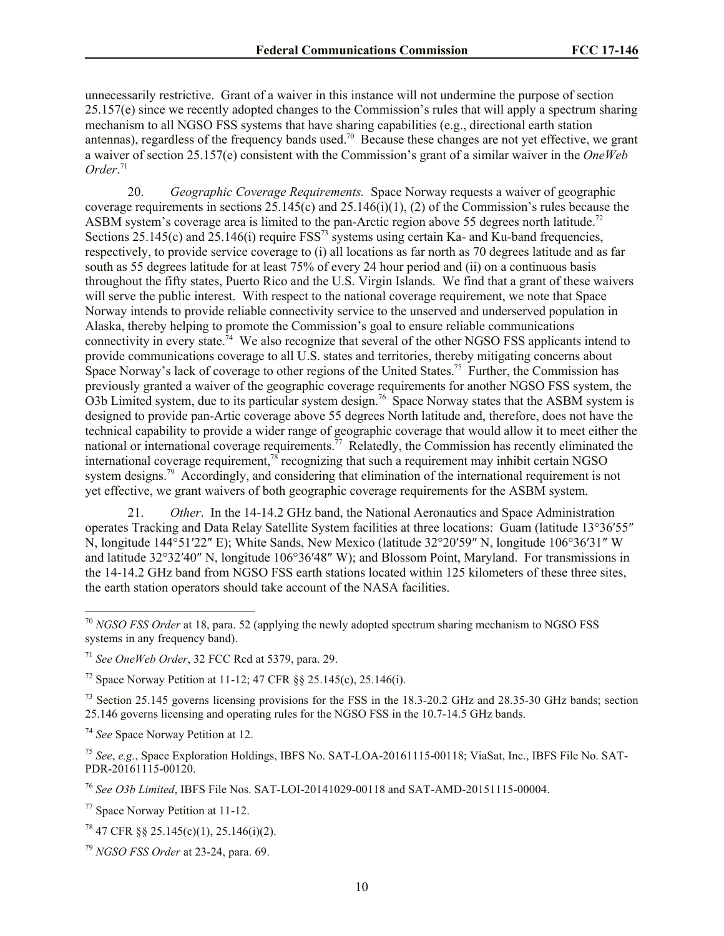unnecessarily restrictive. Grant of a waiver in this instance will not undermine the purpose of section 25.157(e) since we recently adopted changes to the Commission's rules that will apply a spectrum sharing mechanism to all NGSO FSS systems that have sharing capabilities (e.g., directional earth station antennas), regardless of the frequency bands used.<sup>70</sup> Because these changes are not yet effective, we grant a waiver of section 25.157(e) consistent with the Commission's grant of a similar waiver in the *OneWeb Order*. 71

20. *Geographic Coverage Requirements.* Space Norway requests a waiver of geographic coverage requirements in sections 25.145(c) and 25.146(i)(1), (2) of the Commission's rules because the ASBM system's coverage area is limited to the pan-Arctic region above 55 degrees north latitude.<sup>72</sup> Sections  $25.145(c)$  and  $25.146(i)$  require  $FSS<sup>73</sup>$  systems using certain Ka- and Ku-band frequencies, respectively, to provide service coverage to (i) all locations as far north as 70 degrees latitude and as far south as 55 degrees latitude for at least 75% of every 24 hour period and (ii) on a continuous basis throughout the fifty states, Puerto Rico and the U.S. Virgin Islands. We find that a grant of these waivers will serve the public interest. With respect to the national coverage requirement, we note that Space Norway intends to provide reliable connectivity service to the unserved and underserved population in Alaska, thereby helping to promote the Commission's goal to ensure reliable communications connectivity in every state.<sup>74</sup> We also recognize that several of the other NGSO FSS applicants intend to provide communications coverage to all U.S. states and territories, thereby mitigating concerns about Space Norway's lack of coverage to other regions of the United States.<sup>75</sup> Further, the Commission has previously granted a waiver of the geographic coverage requirements for another NGSO FSS system, the O3b Limited system, due to its particular system design.<sup>76</sup> Space Norway states that the ASBM system is designed to provide pan-Artic coverage above 55 degrees North latitude and, therefore, does not have the technical capability to provide a wider range of geographic coverage that would allow it to meet either the national or international coverage requirements.<sup>77</sup> Relatedly, the Commission has recently eliminated the international coverage requirement,<sup>78</sup> recognizing that such a requirement may inhibit certain NGSO system designs.<sup>79</sup> Accordingly, and considering that elimination of the international requirement is not yet effective, we grant waivers of both geographic coverage requirements for the ASBM system.

21. *Other*. In the 14-14.2 GHz band, the National Aeronautics and Space Administration operates Tracking and Data Relay Satellite System facilities at three locations: Guam (latitude 13°36′55″ N, longitude 144°51′22″ E); White Sands, New Mexico (latitude 32°20′59″ N, longitude 106°36′31″ W and latitude 32°32′40″ N, longitude 106°36′48″ W); and Blossom Point, Maryland. For transmissions in the 14-14.2 GHz band from NGSO FSS earth stations located within 125 kilometers of these three sites, the earth station operators should take account of the NASA facilities.

<sup>74</sup> *See* Space Norway Petition at 12.

 $\overline{\phantom{a}}$ 

<sup>76</sup> *See O3b Limited*, IBFS File Nos. SAT-LOI-20141029-00118 and SAT-AMD-20151115-00004.

<sup>77</sup> Space Norway Petition at 11-12.

<sup>70</sup> *NGSO FSS Order* at 18, para. 52 (applying the newly adopted spectrum sharing mechanism to NGSO FSS systems in any frequency band).

<sup>71</sup> *See OneWeb Order*, 32 FCC Rcd at 5379, para. 29.

<sup>72</sup> Space Norway Petition at 11-12; 47 CFR §§ 25.145(c), 25.146(i).

<sup>&</sup>lt;sup>73</sup> Section 25.145 governs licensing provisions for the FSS in the 18.3-20.2 GHz and 28.35-30 GHz bands; section 25.146 governs licensing and operating rules for the NGSO FSS in the 10.7-14.5 GHz bands.

<sup>75</sup> *See*, *e.g.*, Space Exploration Holdings, IBFS No. SAT-LOA-20161115-00118; ViaSat, Inc., IBFS File No. SAT-PDR-20161115-00120.

 $78$  47 CFR §§ 25.145(c)(1), 25.146(i)(2).

<sup>79</sup> *NGSO FSS Order* at 23-24, para. 69.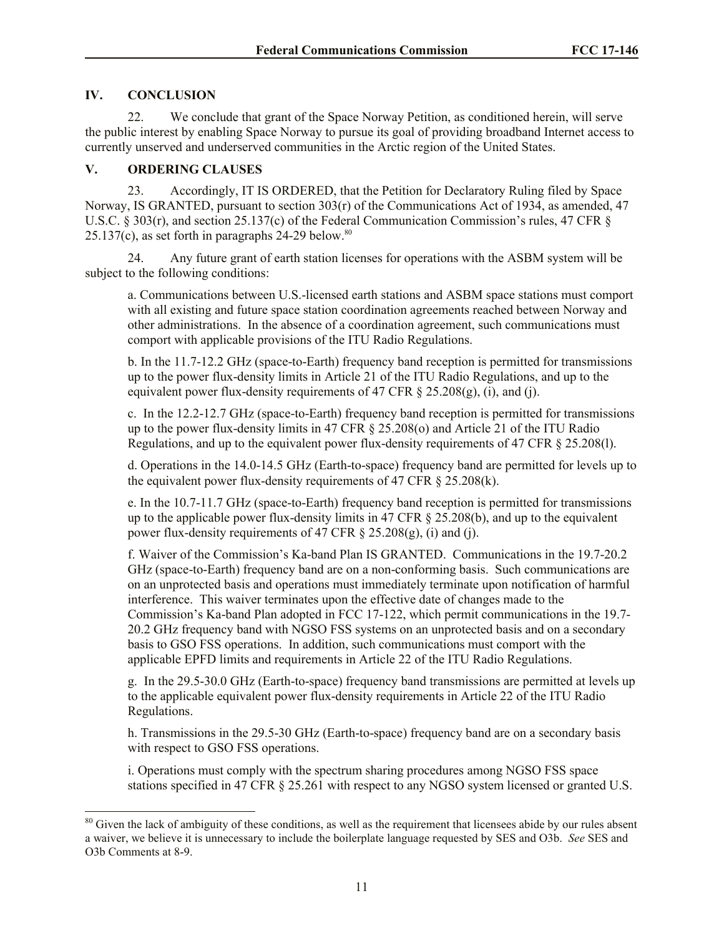# **IV. CONCLUSION**

 $\overline{\phantom{a}}$ 

22. We conclude that grant of the Space Norway Petition, as conditioned herein, will serve the public interest by enabling Space Norway to pursue its goal of providing broadband Internet access to currently unserved and underserved communities in the Arctic region of the United States.

### **V. ORDERING CLAUSES**

23. Accordingly, IT IS ORDERED, that the Petition for Declaratory Ruling filed by Space Norway, IS GRANTED, pursuant to section 303(r) of the Communications Act of 1934, as amended, 47 U.S.C. § 303(r), and section 25.137(c) of the Federal Communication Commission's rules, 47 CFR §  $25.137(c)$ , as set forth in paragraphs  $24-29$  below.<sup>80</sup>

24. Any future grant of earth station licenses for operations with the ASBM system will be subject to the following conditions:

a. Communications between U.S.-licensed earth stations and ASBM space stations must comport with all existing and future space station coordination agreements reached between Norway and other administrations. In the absence of a coordination agreement, such communications must comport with applicable provisions of the ITU Radio Regulations.

b. In the 11.7-12.2 GHz (space-to-Earth) frequency band reception is permitted for transmissions up to the power flux-density limits in Article 21 of the ITU Radio Regulations, and up to the equivalent power flux-density requirements of 47 CFR  $\S 25.208(g)$ , (i), and (j).

c. In the 12.2-12.7 GHz (space-to-Earth) frequency band reception is permitted for transmissions up to the power flux-density limits in 47 CFR § 25.208(o) and Article 21 of the ITU Radio Regulations, and up to the equivalent power flux-density requirements of 47 CFR § 25.208(l).

d. Operations in the 14.0-14.5 GHz (Earth-to-space) frequency band are permitted for levels up to the equivalent power flux-density requirements of 47 CFR  $\S$  25.208(k).

e. In the 10.7-11.7 GHz (space-to-Earth) frequency band reception is permitted for transmissions up to the applicable power flux-density limits in 47 CFR  $\S$  25.208(b), and up to the equivalent power flux-density requirements of 47 CFR  $\S$  25.208(g), (i) and (j).

f. Waiver of the Commission's Ka-band Plan IS GRANTED. Communications in the 19.7-20.2 GHz (space-to-Earth) frequency band are on a non-conforming basis. Such communications are on an unprotected basis and operations must immediately terminate upon notification of harmful interference. This waiver terminates upon the effective date of changes made to the Commission's Ka-band Plan adopted in FCC 17-122, which permit communications in the 19.7- 20.2 GHz frequency band with NGSO FSS systems on an unprotected basis and on a secondary basis to GSO FSS operations. In addition, such communications must comport with the applicable EPFD limits and requirements in Article 22 of the ITU Radio Regulations.

g. In the 29.5-30.0 GHz (Earth-to-space) frequency band transmissions are permitted at levels up to the applicable equivalent power flux-density requirements in Article 22 of the ITU Radio Regulations.

h. Transmissions in the 29.5-30 GHz (Earth-to-space) frequency band are on a secondary basis with respect to GSO FSS operations.

i. Operations must comply with the spectrum sharing procedures among NGSO FSS space stations specified in 47 CFR § 25.261 with respect to any NGSO system licensed or granted U.S.

<sup>&</sup>lt;sup>80</sup> Given the lack of ambiguity of these conditions, as well as the requirement that licensees abide by our rules absent a waiver, we believe it is unnecessary to include the boilerplate language requested by SES and O3b. *See* SES and O3b Comments at 8-9.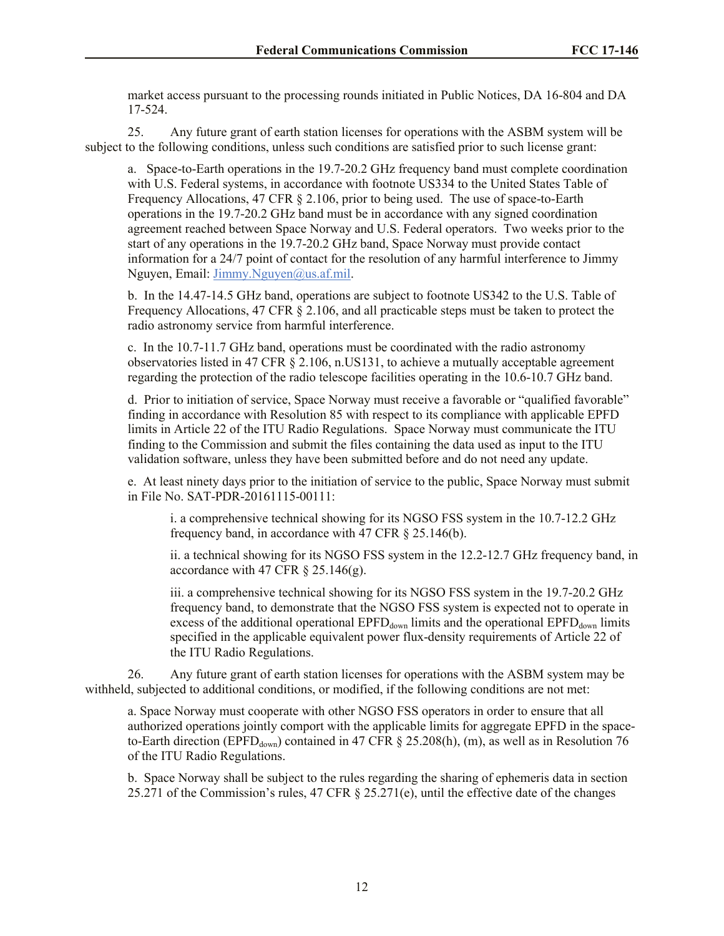market access pursuant to the processing rounds initiated in Public Notices, DA 16-804 and DA 17-524.

25. Any future grant of earth station licenses for operations with the ASBM system will be subject to the following conditions, unless such conditions are satisfied prior to such license grant:

a. Space-to-Earth operations in the 19.7-20.2 GHz frequency band must complete coordination with U.S. Federal systems, in accordance with footnote US334 to the United States Table of Frequency Allocations, 47 CFR § 2.106, prior to being used. The use of space-to-Earth operations in the 19.7-20.2 GHz band must be in accordance with any signed coordination agreement reached between Space Norway and U.S. Federal operators. Two weeks prior to the start of any operations in the 19.7-20.2 GHz band, Space Norway must provide contact information for a 24/7 point of contact for the resolution of any harmful interference to Jimmy Nguyen, Email: Jimmy.Nguyen@us.af.mil.

b. In the 14.47-14.5 GHz band, operations are subject to footnote US342 to the U.S. Table of Frequency Allocations, 47 CFR § 2.106, and all practicable steps must be taken to protect the radio astronomy service from harmful interference.

c. In the 10.7-11.7 GHz band, operations must be coordinated with the radio astronomy observatories listed in 47 CFR § 2.106, n.US131, to achieve a mutually acceptable agreement regarding the protection of the radio telescope facilities operating in the 10.6-10.7 GHz band.

d. Prior to initiation of service, Space Norway must receive a favorable or "qualified favorable" finding in accordance with Resolution 85 with respect to its compliance with applicable EPFD limits in Article 22 of the ITU Radio Regulations. Space Norway must communicate the ITU finding to the Commission and submit the files containing the data used as input to the ITU validation software, unless they have been submitted before and do not need any update.

e. At least ninety days prior to the initiation of service to the public, Space Norway must submit in File No. SAT-PDR-20161115-00111:

i. a comprehensive technical showing for its NGSO FSS system in the 10.7-12.2 GHz frequency band, in accordance with 47 CFR § 25.146(b).

ii. a technical showing for its NGSO FSS system in the 12.2-12.7 GHz frequency band, in accordance with 47 CFR  $\S$  25.146(g).

iii. a comprehensive technical showing for its NGSO FSS system in the 19.7-20.2 GHz frequency band, to demonstrate that the NGSO FSS system is expected not to operate in excess of the additional operational  $EPFD_{down}$  limits and the operational  $EPFD_{down}$  limits specified in the applicable equivalent power flux-density requirements of Article 22 of the ITU Radio Regulations.

26. Any future grant of earth station licenses for operations with the ASBM system may be withheld, subjected to additional conditions, or modified, if the following conditions are not met:

a. Space Norway must cooperate with other NGSO FSS operators in order to ensure that all authorized operations jointly comport with the applicable limits for aggregate EPFD in the spaceto-Earth direction (EPFD<sub>down</sub>) contained in 47 CFR § 25.208(h), (m), as well as in Resolution 76 of the ITU Radio Regulations.

b. Space Norway shall be subject to the rules regarding the sharing of ephemeris data in section 25.271 of the Commission's rules, 47 CFR § 25.271(e), until the effective date of the changes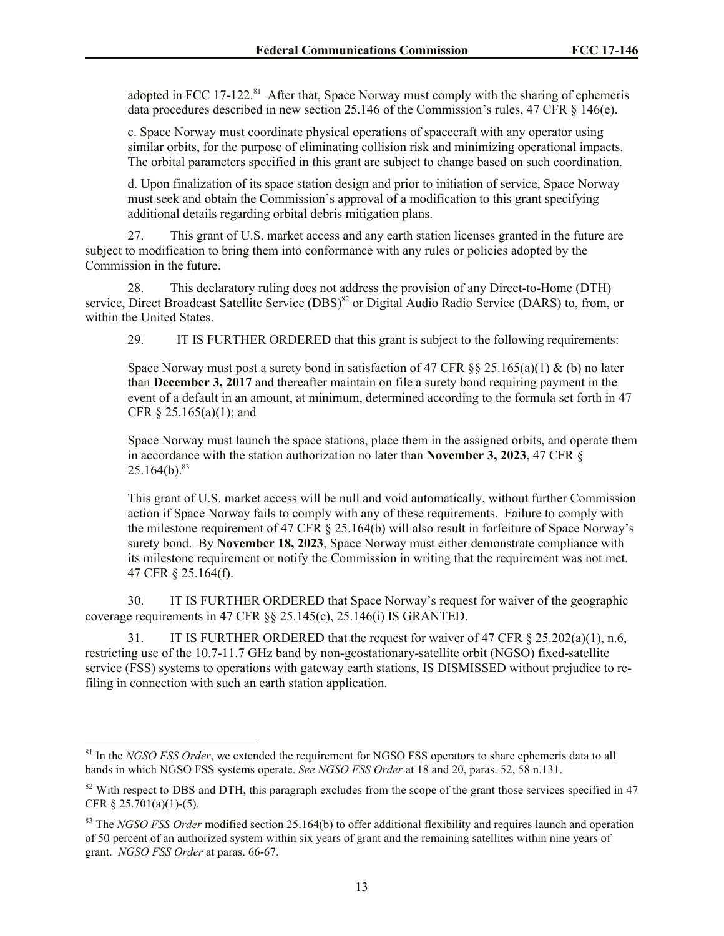adopted in FCC 17-122. $81$  After that, Space Norway must comply with the sharing of ephemeris data procedures described in new section 25.146 of the Commission's rules, 47 CFR § 146(e).

c. Space Norway must coordinate physical operations of spacecraft with any operator using similar orbits, for the purpose of eliminating collision risk and minimizing operational impacts. The orbital parameters specified in this grant are subject to change based on such coordination.

d. Upon finalization of its space station design and prior to initiation of service, Space Norway must seek and obtain the Commission's approval of a modification to this grant specifying additional details regarding orbital debris mitigation plans.

27. This grant of U.S. market access and any earth station licenses granted in the future are subject to modification to bring them into conformance with any rules or policies adopted by the Commission in the future.

28. This declaratory ruling does not address the provision of any Direct-to-Home (DTH) service, Direct Broadcast Satellite Service (DBS)<sup>82</sup> or Digital Audio Radio Service (DARS) to, from, or within the United States.

29.IT IS FURTHER ORDERED that this grant is subject to the following requirements:

Space Norway must post a surety bond in satisfaction of 47 CFR  $\S$ § 25.165(a)(1) & (b) no later than **December 3, 2017** and thereafter maintain on file a surety bond requiring payment in the event of a default in an amount, at minimum, determined according to the formula set forth in 47 CFR § 25.165(a)(1); and

Space Norway must launch the space stations, place them in the assigned orbits, and operate them in accordance with the station authorization no later than **November 3, 2023**, 47 CFR §  $25.164(b).$ <sup>83</sup>

This grant of U.S. market access will be null and void automatically, without further Commission action if Space Norway fails to comply with any of these requirements. Failure to comply with the milestone requirement of 47 CFR § 25.164(b) will also result in forfeiture of Space Norway's surety bond. By **November 18, 2023**, Space Norway must either demonstrate compliance with its milestone requirement or notify the Commission in writing that the requirement was not met. 47 CFR § 25.164(f).

30. IT IS FURTHER ORDERED that Space Norway's request for waiver of the geographic coverage requirements in 47 CFR §§ 25.145(c), 25.146(i) IS GRANTED.

31. IT IS FURTHER ORDERED that the request for waiver of 47 CFR § 25.202(a)(1), n.6, restricting use of the 10.7-11.7 GHz band by non-geostationary-satellite orbit (NGSO) fixed-satellite service (FSS) systems to operations with gateway earth stations, IS DISMISSED without prejudice to refiling in connection with such an earth station application.

 $\overline{\phantom{a}}$ 

<sup>81</sup> In the *NGSO FSS Order*, we extended the requirement for NGSO FSS operators to share ephemeris data to all bands in which NGSO FSS systems operate. *See NGSO FSS Order* at 18 and 20, paras. 52, 58 n.131.

 $82$  With respect to DBS and DTH, this paragraph excludes from the scope of the grant those services specified in 47 CFR § 25.701(a)(1)-(5).

<sup>&</sup>lt;sup>83</sup> The *NGSO FSS Order* modified section 25.164(b) to offer additional flexibility and requires launch and operation of 50 percent of an authorized system within six years of grant and the remaining satellites within nine years of grant. *NGSO FSS Order* at paras. 66-67.